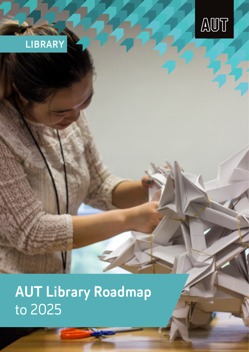



AUT Library Roadmap to 2025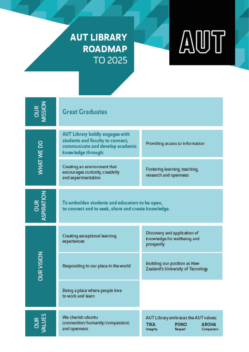# **AUT LIBRARY ROADMAP TO 2025**



| OUR<br>MISSION      | <b>Great Graduates</b>                                                                                                        |                                                                                                                          |
|---------------------|-------------------------------------------------------------------------------------------------------------------------------|--------------------------------------------------------------------------------------------------------------------------|
| WHAT WE DO          | AUT Library boldly engages with<br>students and faculty to connect,<br>communicate and develop academic<br>knowledge through: | Providing access to information                                                                                          |
|                     | Creating an environment that<br>encourages curlosity, creativity<br>and experimentation                                       | Fostering learning, teaching,<br>research and openness                                                                   |
| OUR<br>ASPIRATION   | To embolden students and educators to be open,<br>to connect and to seek, share and create knowledge.                         |                                                                                                                          |
| <b>DUR VISION</b>   | Creating exceptional learning<br>experiences                                                                                  | Discovery and application of<br>knowledge for wellbeing and<br>prosperity                                                |
|                     | Responding to our place in the world                                                                                          | Building our position as New<br>Zealand's University of Tecnology                                                        |
|                     | Being a place where people love<br>to work and learn                                                                          |                                                                                                                          |
| OUR<br><b>ALUES</b> | We cherish ubuntu<br>(connection/humanity/compassion)<br>and openness                                                         | AUT Library embraces the AUT values:<br><b>TIKA</b><br><b>PONO</b><br><b>AROHA</b><br>Integrity<br>Respect<br>Compassion |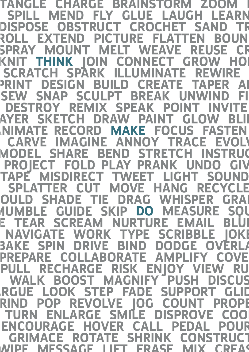**TANGLE CHARGE BRAINSTORM ZOOM I SPILL MEND FLY GLUE LAUGH LEARN DISPOSE OBSTRUCT CROCHET SAND TR ROLL EXTEND PICTURE FLATTEN BOUN SPRAY MOUNT MELT WEAVE REUSE CF KNIT THINK JOIN CONNECT GROW HOLD SCRATCH SPARK ILLUMINATE REWIRE PRINT DESIGN BUILD CREATE TAPER AI SEW SNAP SCULPT BREAK UNWIND FI DESTROY REMIX SPEAK POINT INVITE AYER SKETCH DRAW PAINT GLOW BLI ANIMATE RECORD MAKE FOCUS FASTEN**  *CARVE IMAGINE ANNOY TRACE EVOL* **MODEL SHARE BEND STRETCH INSTRUC PROJECT FOLD PLAY PRANK UNDO GIV TAPE MISDIRECT TWEET LIGHT SOUND SPLATTER CUT MOVE HANG RECYCLE OULD SHADE TIE DRAG WHISPER GRAI MUMBLE GUIDE SKIP DO MEASURE SOUTH AUMBLE GUIDE SKIP DO MEASURE SOUTH AUMENT ENAIL BLUR NAVIGATE WORK TYPE SCRIBBLE JOKE BAKE SPIN DRIVE BIND DODGE OVERLA** PREPARE COLLABORATE AMPLIFY COVE PULL RECHARGE RISK ENJOY VIEW RU **WALK BOOST MAGNIFY PUSH DISCUS RGUE LOOK STEP FADE SUPPORT GLID RIND POP REVOLVE JOG COUNT PROPE** TURN ENLARGE SMILE DISPROVE COO  **ENCOURAGE HOVER CALL PEDAL POUR GRIMACE ROTATE SHRINK CONSTRUCT WIPE MESSAGE LIFT ERASE MIX CREASE** 

 **SHOOT FLOW BLEND MANAGE ESCAPE**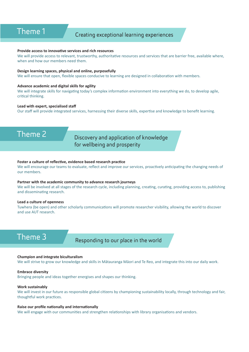# Theme 1 Creating exceptional learning experiences

# **Provide access to innovative services and rich resources**

We will provide access to relevant, trustworthy, authoritative resources and services that are barrier free, available where, when and how our members need them.

## **Design learning spaces, physical and online, purposefully**

We will ensure that open, flexible spaces conducive to learning are designed in collaboration with members.

### **Advance academic and digital skills for agility**

We will integrate skills for navigating today's complex information environment into everything we do, to develop agile, critical thinking.

#### **Lead with expert, specialised staff**

Our staff will provide integrated services, harnessing their diverse skills, expertise and knowledge to benefit learning.

Theme 2 Discovery and application of knowledge for wellbeing and prosperity

#### **Foster a culture of reflective, evidence based research practice**

We will encourage our teams to evaluate, reflect and improve our services, proactively anticipating the changing needs of our members.

#### **Partner with the academic community to advance research journeys**

We will be involved at all stages of the research cycle, including planning, creating, curating, providing access to, publishing and disseminating research.

#### **Lead a culture of openness**

Tuwhera (be open) and other scholarly communications will promote researcher visibility, allowing the world to discover and use AUT research.

Theme 3 Responding to our place in the world

#### **Champion and integrate biculturalism**

We will strive to grow our knowledge and skills in Mātauranga Māori and Te Reo, and integrate this into our daily work.

## **Embrace diversity**

Bringing people and ideas together energises and shapes our thinking.

#### **Work sustainably**

We will invest in our future as responsible global citizens by championing sustainability locally, through technology and fair, thoughtful work practices.

#### **Raise our profile nationally and internationally**

We will engage with our communities and strengthen relationships with library organisations and vendors.